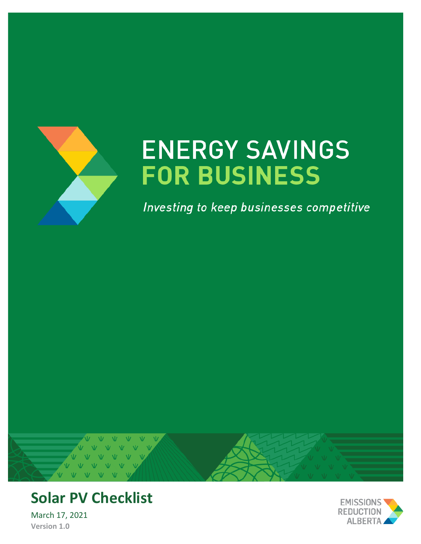

# **ENERGY SAVINGS FOR BUSINESS**

Investing to keep businesses competitive



# **Solar PV Checklist**

March 17, 2021 **Version 1.0**

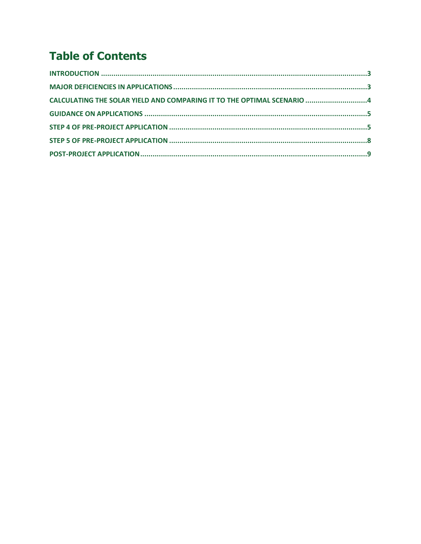# **Table of Contents**

| CALCULATING THE SOLAR YIELD AND COMPARING IT TO THE OPTIMAL SCENARIO 4 |  |
|------------------------------------------------------------------------|--|
|                                                                        |  |
|                                                                        |  |
|                                                                        |  |
|                                                                        |  |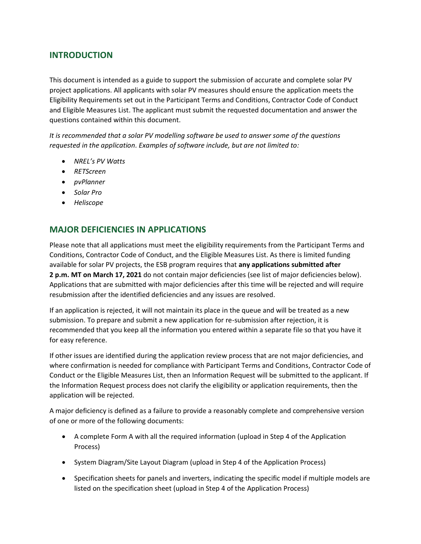# <span id="page-2-0"></span>**INTRODUCTION**

This document is intended as a guide to support the submission of accurate and complete solar PV project applications. All applicants with solar PV measures should ensure the application meets the Eligibility Requirements set out in the Participant Terms and Conditions, Contractor Code of Conduct and Eligible Measures List. The applicant must submit the requested documentation and answer the questions contained within this document.

*It is recommended that a solar PV modelling software be used to answer some of the questions requested in the application. Examples of software include, but are not limited to:*

- *NREL's PV Watts*
- *RETScreen*
- *pvPlanner*
- *Solar Pro*
- *Heliscope*

# <span id="page-2-1"></span>**MAJOR DEFICIENCIES IN APPLICATIONS**

Please note that all applications must meet the eligibility requirements from the Participant Terms and Conditions, Contractor Code of Conduct, and the Eligible Measures List. As there is limited funding available for solar PV projects, the ESB program requires that **any applications submitted after 2 p.m. MT on March 17, 2021** do not contain major deficiencies (see list of major deficiencies below). Applications that are submitted with major deficiencies after this time will be rejected and will require resubmission after the identified deficiencies and any issues are resolved.

If an application is rejected, it will not maintain its place in the queue and will be treated as a new submission. To prepare and submit a new application for re-submission after rejection, it is recommended that you keep all the information you entered within a separate file so that you have it for easy reference.

If other issues are identified during the application review process that are not major deficiencies, and where confirmation is needed for compliance with Participant Terms and Conditions, Contractor Code of Conduct or the Eligible Measures List, then an Information Request will be submitted to the applicant. If the Information Request process does not clarify the eligibility or application requirements, then the application will be rejected.

A major deficiency is defined as a failure to provide a reasonably complete and comprehensive version of one or more of the following documents:

- A complete Form A with all the required information (upload in Step 4 of the Application Process)
- System Diagram/Site Layout Diagram (upload in Step 4 of the Application Process)
- Specification sheets for panels and inverters, indicating the specific model if multiple models are listed on the specification sheet (upload in Step 4 of the Application Process)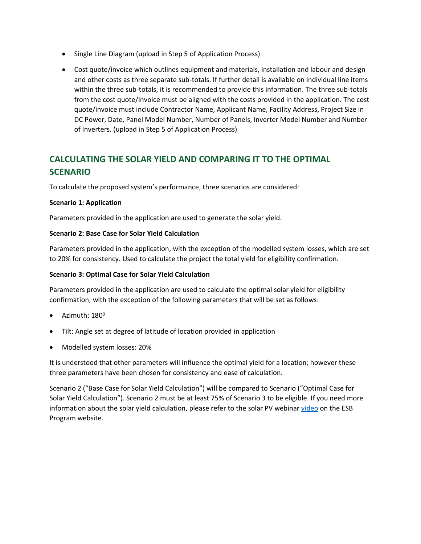- Single Line Diagram (upload in Step 5 of Application Process)
- Cost quote/invoice which outlines equipment and materials, installation and labour and design and other costs as three separate sub-totals. If further detail is available on individual line items within the three sub-totals, it is recommended to provide this information. The three sub-totals from the cost quote/invoice must be aligned with the costs provided in the application. The cost quote/invoice must include Contractor Name, Applicant Name, Facility Address, Project Size in DC Power, Date, Panel Model Number, Number of Panels, Inverter Model Number and Number of Inverters. (upload in Step 5 of Application Process)

# <span id="page-3-0"></span>**CALCULATING THE SOLAR YIELD AND COMPARING IT TO THE OPTIMAL SCENARIO**

To calculate the proposed system's performance, three scenarios are considered:

#### **Scenario 1: Application**

Parameters provided in the application are used to generate the solar yield.

#### **Scenario 2: Base Case for Solar Yield Calculation**

Parameters provided in the application, with the exception of the modelled system losses, which are set to 20% for consistency. Used to calculate the project the total yield for eligibility confirmation.

#### **Scenario 3: Optimal Case for Solar Yield Calculation**

Parameters provided in the application are used to calculate the optimal solar yield for eligibility confirmation, with the exception of the following parameters that will be set as follows:

- Azimuth: 180 $^{\rm o}$
- Tilt: Angle set at degree of latitude of location provided in application
- Modelled system losses: 20%

It is understood that other parameters will influence the optimal yield for a location; however these three parameters have been chosen for consistency and ease of calculation.

Scenario 2 ("Base Case for Solar Yield Calculation") will be compared to Scenario ("Optimal Case for Solar Yield Calculation"). Scenario 2 must be at least 75% of Scenario 3 to be eligible. If you need more information about the solar yield calculation, please refer to the solar PV webinar [video](https://www.youtube.com/watch?v=2MBUCGQNeUA&t=535s) on the ESB Program website.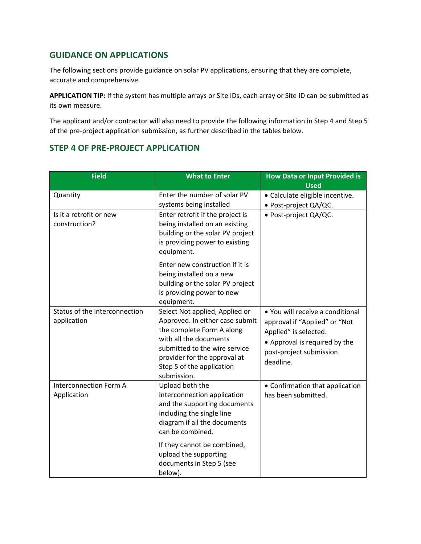# <span id="page-4-0"></span>**GUIDANCE ON APPLICATIONS**

The following sections provide guidance on solar PV applications, ensuring that they are complete, accurate and comprehensive.

APPLICATION TIP: If the system has multiple arrays or Site IDs, each array or Site ID can be submitted as its own measure.

The applicant and/or contractor will also need to provide the following information in Step 4 and Step 5 of the pre-project application submission, as further described in the tables below.

## <span id="page-4-1"></span>**STEP 4 OF PRE-PROJECT APPLICATION**

| <b>Field</b>                                 | <b>What to Enter</b>                                                                                                                                                                                                                  | <b>How Data or Input Provided is</b><br><b>Used</b>                                                                                                                 |
|----------------------------------------------|---------------------------------------------------------------------------------------------------------------------------------------------------------------------------------------------------------------------------------------|---------------------------------------------------------------------------------------------------------------------------------------------------------------------|
| Quantity                                     | Enter the number of solar PV<br>systems being installed                                                                                                                                                                               | · Calculate eligible incentive.<br>· Post-project QA/QC.                                                                                                            |
| Is it a retrofit or new<br>construction?     | Enter retrofit if the project is<br>being installed on an existing<br>building or the solar PV project<br>is providing power to existing<br>equipment.                                                                                | · Post-project QA/QC.                                                                                                                                               |
|                                              | Enter new construction if it is<br>being installed on a new<br>building or the solar PV project<br>is providing power to new<br>equipment.                                                                                            |                                                                                                                                                                     |
| Status of the interconnection<br>application | Select Not applied, Applied or<br>Approved. In either case submit<br>the complete Form A along<br>with all the documents<br>submitted to the wire service<br>provider for the approval at<br>Step 5 of the application<br>submission. | • You will receive a conditional<br>approval if "Applied" or "Not<br>Applied" is selected.<br>• Approval is required by the<br>post-project submission<br>deadline. |
| <b>Interconnection Form A</b><br>Application | Upload both the<br>interconnection application<br>and the supporting documents<br>including the single line<br>diagram if all the documents<br>can be combined.                                                                       | • Confirmation that application<br>has been submitted.                                                                                                              |
|                                              | If they cannot be combined,<br>upload the supporting<br>documents in Step 5 (see<br>below).                                                                                                                                           |                                                                                                                                                                     |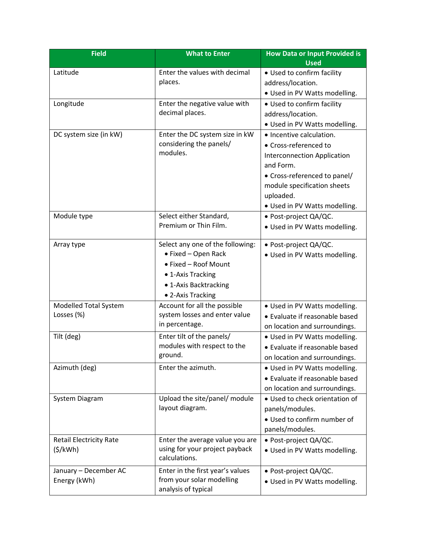| <b>Field</b>                   | <b>What to Enter</b>                             | How Data or Input Provided is<br><b>Used</b>           |
|--------------------------------|--------------------------------------------------|--------------------------------------------------------|
| Latitude                       | Enter the values with decimal                    | • Used to confirm facility                             |
|                                | places.                                          | address/location.                                      |
|                                |                                                  | · Used in PV Watts modelling.                          |
| Longitude                      | Enter the negative value with                    | • Used to confirm facility                             |
|                                | decimal places.                                  | address/location.                                      |
|                                |                                                  | . Used in PV Watts modelling.                          |
| DC system size (in kW)         | Enter the DC system size in kW                   | • Incentive calculation.                               |
|                                | considering the panels/                          | • Cross-referenced to                                  |
|                                | modules.                                         | <b>Interconnection Application</b>                     |
|                                |                                                  | and Form.                                              |
|                                |                                                  | • Cross-referenced to panel/                           |
|                                |                                                  | module specification sheets                            |
|                                |                                                  | uploaded.                                              |
|                                |                                                  | • Used in PV Watts modelling.                          |
| Module type                    | Select either Standard,<br>Premium or Thin Film. | · Post-project QA/QC.                                  |
|                                |                                                  | . Used in PV Watts modelling.                          |
| Array type                     | Select any one of the following:                 | · Post-project QA/QC.                                  |
|                                | • Fixed - Open Rack                              | . Used in PV Watts modelling.                          |
|                                | • Fixed - Roof Mount                             |                                                        |
|                                | • 1-Axis Tracking                                |                                                        |
|                                | • 1-Axis Backtracking                            |                                                        |
|                                | • 2-Axis Tracking                                |                                                        |
| Modelled Total System          | Account for all the possible                     | • Used in PV Watts modelling.                          |
| Losses (%)                     | system losses and enter value                    | • Evaluate if reasonable based                         |
|                                | in percentage.                                   | on location and surroundings.                          |
| Tilt (deg)                     | Enter tilt of the panels/                        | • Used in PV Watts modelling.                          |
|                                | modules with respect to the<br>ground.           | • Evaluate if reasonable based                         |
|                                |                                                  | on location and surroundings.                          |
| Azimuth (deg)                  | Enter the azimuth.                               | • Used in PV Watts modelling.                          |
|                                |                                                  | • Evaluate if reasonable based                         |
|                                |                                                  | on location and surroundings.                          |
| System Diagram                 | Upload the site/panel/ module<br>layout diagram. | · Used to check orientation of                         |
|                                |                                                  | panels/modules.                                        |
|                                |                                                  | · Used to confirm number of                            |
| <b>Retail Electricity Rate</b> | Enter the average value you are                  | panels/modules.                                        |
| (5/kWh)                        | using for your project payback                   | · Post-project QA/QC.<br>• Used in PV Watts modelling. |
|                                | calculations.                                    |                                                        |
| January - December AC          | Enter in the first year's values                 | · Post-project QA/QC.                                  |
| Energy (kWh)                   | from your solar modelling                        | . Used in PV Watts modelling.                          |
|                                | analysis of typical                              |                                                        |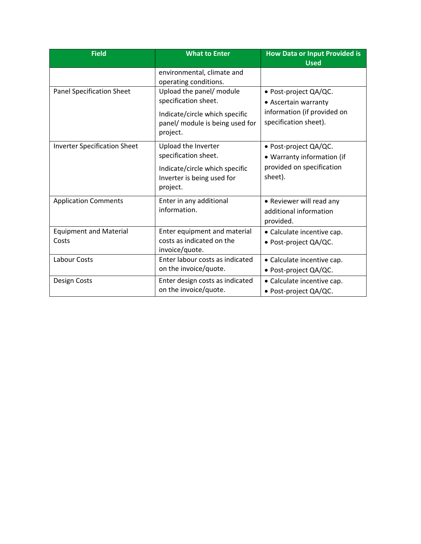| <b>Field</b>                           | <b>What to Enter</b>                                                                                                              | <b>How Data or Input Provided is</b><br><b>Used</b>                                                   |
|----------------------------------------|-----------------------------------------------------------------------------------------------------------------------------------|-------------------------------------------------------------------------------------------------------|
|                                        | environmental, climate and<br>operating conditions.                                                                               |                                                                                                       |
| <b>Panel Specification Sheet</b>       | Upload the panel/ module<br>specification sheet.<br>Indicate/circle which specific<br>panel/ module is being used for<br>project. | · Post-project QA/QC.<br>• Ascertain warranty<br>information (if provided on<br>specification sheet). |
| <b>Inverter Specification Sheet</b>    | Upload the Inverter<br>specification sheet.<br>Indicate/circle which specific<br>Inverter is being used for<br>project.           | · Post-project QA/QC.<br>• Warranty information (if<br>provided on specification<br>sheet).           |
| <b>Application Comments</b>            | Enter in any additional<br>information.                                                                                           | • Reviewer will read any<br>additional information<br>provided.                                       |
| <b>Equipment and Material</b><br>Costs | Enter equipment and material<br>costs as indicated on the<br>invoice/quote.                                                       | • Calculate incentive cap.<br>· Post-project QA/QC.                                                   |
| Labour Costs                           | Enter labour costs as indicated<br>on the invoice/quote.                                                                          | • Calculate incentive cap.<br>• Post-project QA/QC.                                                   |
| Design Costs                           | Enter design costs as indicated<br>on the invoice/quote.                                                                          | • Calculate incentive cap.<br>· Post-project QA/QC.                                                   |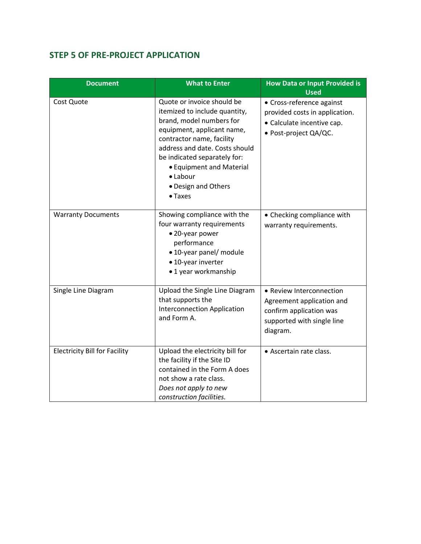# <span id="page-7-0"></span>**STEP 5 OF PRE-PROJECT APPLICATION**

| <b>Document</b>                      | <b>What to Enter</b>                                                                                                                                                                                                                                                                                   | <b>How Data or Input Provided is</b><br><b>Used</b>                                                                        |
|--------------------------------------|--------------------------------------------------------------------------------------------------------------------------------------------------------------------------------------------------------------------------------------------------------------------------------------------------------|----------------------------------------------------------------------------------------------------------------------------|
| Cost Quote                           | Quote or invoice should be<br>itemized to include quantity,<br>brand, model numbers for<br>equipment, applicant name,<br>contractor name, facility<br>address and date. Costs should<br>be indicated separately for:<br>• Equipment and Material<br>• Labour<br>• Design and Others<br>$\bullet$ Taxes | • Cross-reference against<br>provided costs in application.<br>• Calculate incentive cap.<br>· Post-project QA/QC.         |
| <b>Warranty Documents</b>            | Showing compliance with the<br>four warranty requirements<br>• 20-year power<br>performance<br>• 10-year panel/ module<br>• 10-year inverter<br>•1 year workmanship                                                                                                                                    | • Checking compliance with<br>warranty requirements.                                                                       |
| Single Line Diagram                  | Upload the Single Line Diagram<br>that supports the<br><b>Interconnection Application</b><br>and Form A.                                                                                                                                                                                               | • Review Interconnection<br>Agreement application and<br>confirm application was<br>supported with single line<br>diagram. |
| <b>Electricity Bill for Facility</b> | Upload the electricity bill for<br>the facility if the Site ID<br>contained in the Form A does<br>not show a rate class.<br>Does not apply to new<br>construction facilities.                                                                                                                          | • Ascertain rate class.                                                                                                    |